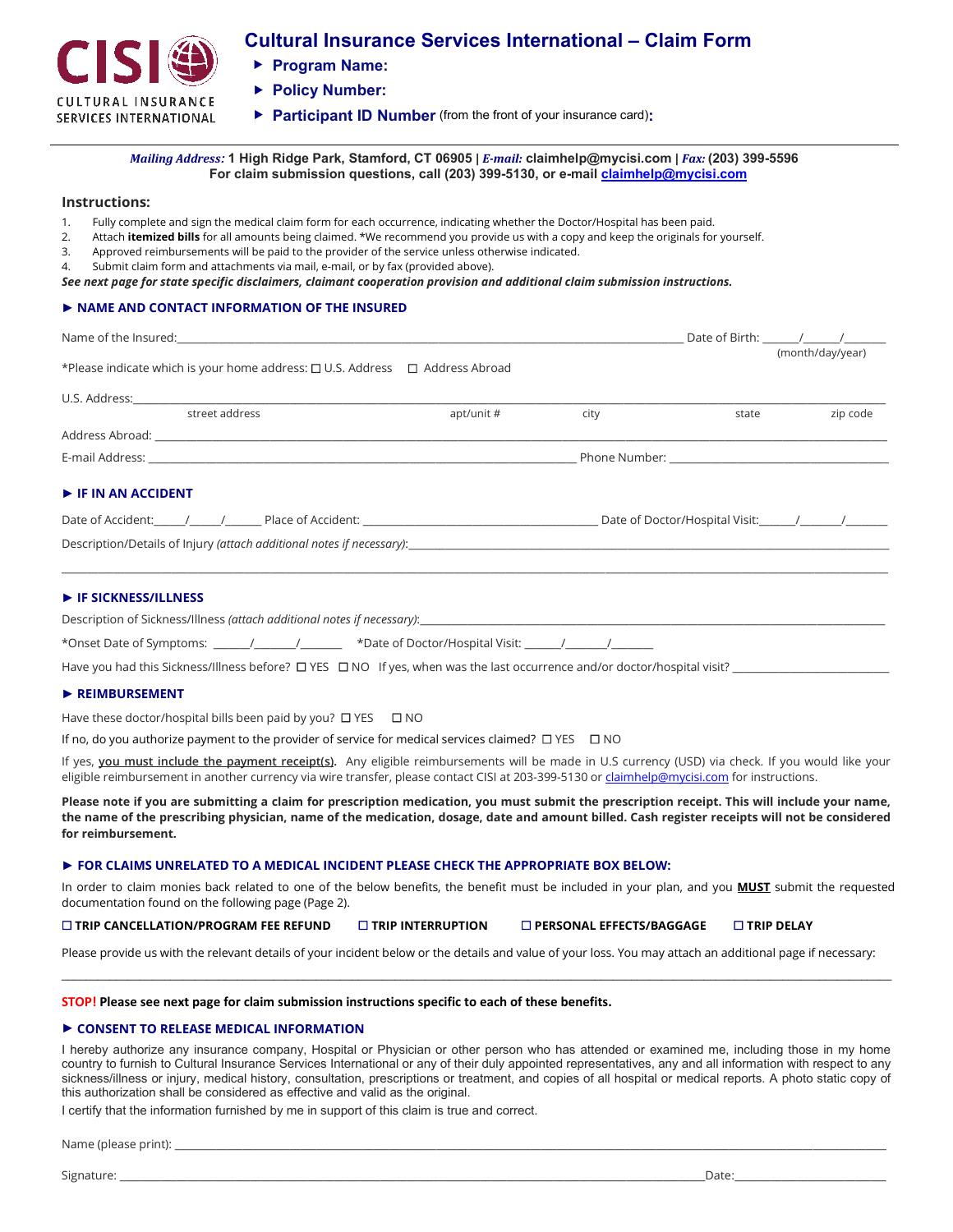

# **Cultural Insurance Services International – Claim Form**

- **Program Name:**
- **Policy Number:**
- **Participant ID Number** (from the front of your insurance card)**:**

*Mailing Address:* **1 High Ridge Park, Stamford, CT 06905 |** *E-mail:* **claimhelp@mycisi.com |** *Fax:* **(203) 399-5596 For claim submission questions, call (203) 399-5130, or e-mai[l claimhelp@mycisi.com](mailto:claimhelp@mycisi.com)**

### **Instructions:**

- 1. Fully complete and sign the medical claim form for each occurrence, indicating whether the Doctor/Hospital has been paid.
- 2. Attach **itemized bills** for all amounts being claimed. \*We recommend you provide us with a copy and keep the originals for yourself.
- 3. Approved reimbursements will be paid to the provider of the service unless otherwise indicated.
- 4. Submit claim form and attachments via mail, e-mail, or by fax (provided above).

*See next page for state specific disclaimers, claimant cooperation provision and additional claim submission instructions.*

## ► **NAME AND CONTACT INFORMATION OF THE INSURED**

|                                                                                                                 |            |      | Date of Birth: / / |  |          |
|-----------------------------------------------------------------------------------------------------------------|------------|------|--------------------|--|----------|
| *Please indicate which is your home address: □ U.S. Address □ Address Abroad                                    |            |      | (month/day/year)   |  |          |
|                                                                                                                 |            |      |                    |  |          |
| street address                                                                                                  | apt/unit # | city | state              |  | zip code |
|                                                                                                                 |            |      |                    |  |          |
|                                                                                                                 |            |      |                    |  |          |
| $\blacktriangleright$ IF IN AN ACCIDENT                                                                         |            |      |                    |  |          |
| Date of Accident: 1 1 / Place of Accident: 2 / 2 / Place of Accident: 2 / 2 / Place of Doctor/Hospital Visit: 1 |            |      |                    |  |          |
|                                                                                                                 |            |      |                    |  |          |
| $\blacktriangleright$ IF SICKNESS/ILLNESS                                                                       |            |      |                    |  |          |
|                                                                                                                 |            |      |                    |  |          |
|                                                                                                                 |            |      |                    |  |          |

Have you had this Sickness/Illness before?  $\Box$  YES  $\Box$  NO If yes, when was the last occurrence and/or doctor/hospital visit?

### ► **REIMBURSEMENT**

Have these doctor/hospital bills been paid by you?  $\Box$  YES  $\Box$  NO

If no, do you authorize payment to the provider of service for medical services claimed?  $\Box$  YES  $\Box$  NO

If yes, you must include the payment receipt(s). Any eligible reimbursements will be made in U.S currency (USD) via check. If you would like your eligible reimbursement in another currency via wire transfer, please contact CISI at 203-399-5130 o[r claimhelp@mycisi.com](mailto:claimhelp@mycisi.com) for instructions.

**Please note if you are submitting a claim for prescription medication, you must submit the prescription receipt. This will include your name, the name of the prescribing physician, name of the medication, dosage, date and amount billed. Cash register receipts will not be considered for reimbursement.**

#### **► FOR CLAIMS UNRELATED TO A MEDICAL INCIDENT PLEASE CHECK THE APPROPRIATE BOX BELOW:**

In order to claim monies back related to one of the below benefits, the benefit must be included in your plan, and you **MUST** submit the requested documentation found on the following page (Page 2).

**TRIP CANCELLATION/PROGRAM FEE REFUND TRIP INTERRUPTION PERSONAL EFFECTS/BAGGAGE TRIP DELAY**

Please provide us with the relevant details of your incident below or the details and value of your loss. You may attach an additional page if necessary: \_\_\_\_\_\_\_\_\_\_\_\_\_\_\_\_\_\_\_\_\_\_\_\_\_\_\_\_\_\_\_\_\_\_\_\_\_\_\_\_\_\_\_\_\_\_\_\_\_\_\_\_\_\_\_\_\_\_\_\_\_\_\_\_\_\_\_\_\_\_\_\_\_\_\_\_\_\_\_\_\_\_\_\_\_\_\_\_\_\_\_\_\_\_\_\_\_\_\_\_\_\_\_\_\_\_\_\_\_\_\_\_\_\_\_\_\_\_\_\_\_\_\_\_\_\_\_\_\_\_\_\_\_\_\_\_\_

#### **STOP! Please see next page for claim submission instructions specific to each of these benefits.**

### ► **CONSENT TO RELEASE MEDICAL INFORMATION**

I hereby authorize any insurance company, Hospital or Physician or other person who has attended or examined me, including those in my home country to furnish to Cultural Insurance Services International or any of their duly appointed representatives, any and all information with respect to any sickness/illness or injury, medical history, consultation, prescriptions or treatment, and copies of all hospital or medical reports. A photo static copy of this authorization shall be considered as effective and valid as the original.

I certify that the information furnished by me in support of this claim is true and correct.

Name (please print): \_\_\_